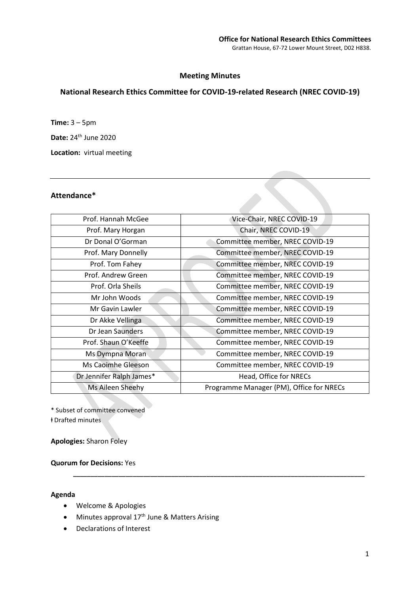# Meeting Minutes

# National Research Ethics Committee for COVID-19-related Research (NREC COVID-19)

Time: 3 – 5pm

Date: 24th June 2020

Location: virtual meeting

### Attendance\*

| Prof. Hannah McGee       | Vice-Chair, NREC COVID-19                |
|--------------------------|------------------------------------------|
| Prof. Mary Horgan        | Chair, NREC COVID-19                     |
| Dr Donal O'Gorman        | Committee member, NREC COVID-19          |
| Prof. Mary Donnelly      | Committee member, NREC COVID-19          |
| Prof. Tom Fahey          | Committee member, NREC COVID-19          |
| Prof. Andrew Green       | Committee member, NREC COVID-19          |
| Prof. Orla Sheils        | Committee member, NREC COVID-19          |
| Mr John Woods            | Committee member, NREC COVID-19          |
| Mr Gavin Lawler          | Committee member, NREC COVID-19          |
| Dr Akke Vellinga         | Committee member, NREC COVID-19          |
| Dr Jean Saunders         | Committee member, NREC COVID-19          |
| Prof. Shaun O'Keeffe     | Committee member, NREC COVID-19          |
| Ms Dympna Moran          | Committee member, NREC COVID-19          |
| Ms Caoimhe Gleeson       | Committee member, NREC COVID-19          |
| Dr Jennifer Ralph James* | Head, Office for NRECs                   |
| Ms Aileen Sheehy         | Programme Manager (PM), Office for NRECs |
|                          |                                          |

\_\_\_\_\_\_\_\_\_\_\_\_\_\_\_\_\_\_\_\_\_\_\_\_\_\_\_\_\_\_\_\_\_\_\_\_\_\_\_\_\_\_\_\_\_\_\_\_\_\_\_\_\_\_\_\_\_\_\_\_\_\_\_\_\_\_\_\_\_\_\_\_\_\_\_\_\_\_\_\_\_\_\_

\* Subset of committee convened ⱡ Drafted minutes

Apologies: Sharon Foley

Quorum for Decisions: Yes

#### Agenda

- Welcome & Apologies
- Minutes approval 17<sup>th</sup> June & Matters Arising
- Declarations of Interest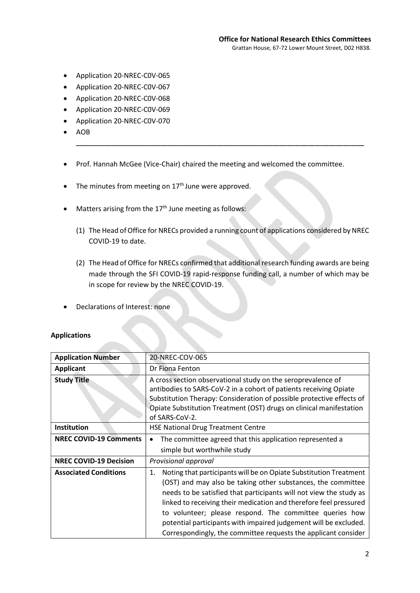- Application 20-NREC-C0V-065
- Application 20-NREC-C0V-067
- Application 20-NREC-C0V-068
- Application 20-NREC-C0V-069
- Application 20-NREC-C0V-070
- AOB
- Prof. Hannah McGee (Vice-Chair) chaired the meeting and welcomed the committee.

\_\_\_\_\_\_\_\_\_\_\_\_\_\_\_\_\_\_\_\_\_\_\_\_\_\_\_\_\_\_\_\_\_\_\_\_\_\_\_\_\_\_\_\_\_\_\_\_\_\_\_\_\_\_\_\_\_\_\_\_\_\_\_\_\_\_\_\_\_\_\_\_\_\_\_\_\_\_\_\_\_\_

- $\bullet$  The minutes from meeting on  $17<sup>th</sup>$  June were approved.
- Matters arising from the  $17<sup>th</sup>$  June meeting as follows:
	- (1) The Head of Office for NRECs provided a running count of applications considered by NREC COVID-19 to date.
	- (2) The Head of Office for NRECs confirmed that additional research funding awards are being made through the SFI COVID-19 rapid-response funding call, a number of which may be in scope for review by the NREC COVID-19.
- Declarations of Interest: none

#### Applications

| <b>Application Number</b>     | 20-NREC-COV-065                                                                                                                                                                                                                                                                                                                                                                                                                                                                     |
|-------------------------------|-------------------------------------------------------------------------------------------------------------------------------------------------------------------------------------------------------------------------------------------------------------------------------------------------------------------------------------------------------------------------------------------------------------------------------------------------------------------------------------|
| <b>Applicant</b>              | Dr Fiona Fenton                                                                                                                                                                                                                                                                                                                                                                                                                                                                     |
| <b>Study Title</b>            | A cross section observational study on the seroprevalence of<br>antibodies to SARS-CoV-2 in a cohort of patients receiving Opiate<br>Substitution Therapy: Consideration of possible protective effects of<br>Opiate Substitution Treatment (OST) drugs on clinical manifestation<br>of SARS-CoV-2.                                                                                                                                                                                 |
| Institution                   | <b>HSE National Drug Treatment Centre</b>                                                                                                                                                                                                                                                                                                                                                                                                                                           |
| <b>NREC COVID-19 Comments</b> | The committee agreed that this application represented a<br>$\bullet$<br>simple but worthwhile study                                                                                                                                                                                                                                                                                                                                                                                |
| <b>NREC COVID-19 Decision</b> | Provisional approval                                                                                                                                                                                                                                                                                                                                                                                                                                                                |
| <b>Associated Conditions</b>  | Noting that participants will be on Opiate Substitution Treatment<br>1.<br>(OST) and may also be taking other substances, the committee<br>needs to be satisfied that participants will not view the study as<br>linked to receiving their medication and therefore feel pressured<br>to volunteer; please respond. The committee queries how<br>potential participants with impaired judgement will be excluded.<br>Correspondingly, the committee requests the applicant consider |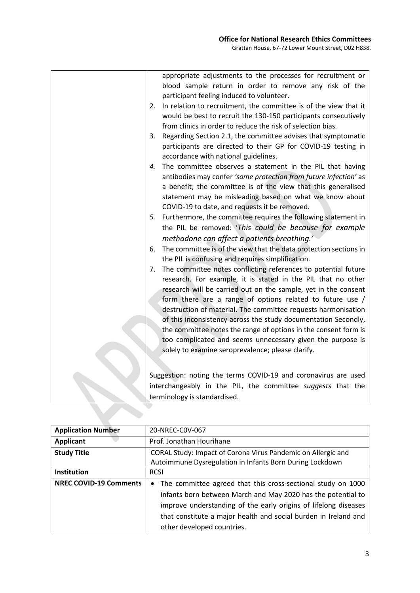| appropriate adjustments to the processes for recruitment or<br>blood sample return in order to remove any risk of the<br>participant feeling induced to volunteer.<br>In relation to recruitment, the committee is of the view that it<br>2.<br>would be best to recruit the 130-150 participants consecutively<br>from clinics in order to reduce the risk of selection bias.                                                                                                                                                                                                               |
|----------------------------------------------------------------------------------------------------------------------------------------------------------------------------------------------------------------------------------------------------------------------------------------------------------------------------------------------------------------------------------------------------------------------------------------------------------------------------------------------------------------------------------------------------------------------------------------------|
| Regarding Section 2.1, the committee advises that symptomatic<br>3.<br>participants are directed to their GP for COVID-19 testing in<br>accordance with national guidelines.                                                                                                                                                                                                                                                                                                                                                                                                                 |
| The committee observes a statement in the PIL that having<br>4.<br>antibodies may confer 'some protection from future infection' as<br>a benefit; the committee is of the view that this generalised<br>statement may be misleading based on what we know about<br>COVID-19 to date, and requests it be removed.                                                                                                                                                                                                                                                                             |
| Furthermore, the committee requires the following statement in<br>5.<br>the PIL be removed: 'This could be because for example<br>methadone can affect a patients breathing.                                                                                                                                                                                                                                                                                                                                                                                                                 |
| The committee is of the view that the data protection sections in<br>6.<br>the PIL is confusing and requires simplification.                                                                                                                                                                                                                                                                                                                                                                                                                                                                 |
| The committee notes conflicting references to potential future<br>7.<br>research. For example, it is stated in the PIL that no other<br>research will be carried out on the sample, yet in the consent<br>form there are a range of options related to future use /<br>destruction of material. The committee requests harmonisation<br>of this inconsistency across the study documentation Secondly,<br>the committee notes the range of options in the consent form is<br>too complicated and seems unnecessary given the purpose is<br>solely to examine seroprevalence; please clarify. |
|                                                                                                                                                                                                                                                                                                                                                                                                                                                                                                                                                                                              |
| Suggestion: noting the terms COVID-19 and coronavirus are used                                                                                                                                                                                                                                                                                                                                                                                                                                                                                                                               |
| interchangeably in the PIL, the committee suggests that the                                                                                                                                                                                                                                                                                                                                                                                                                                                                                                                                  |
| terminology is standardised.                                                                                                                                                                                                                                                                                                                                                                                                                                                                                                                                                                 |

| <b>Application Number</b>     | 20-NREC-C0V-067                                                                                                                |
|-------------------------------|--------------------------------------------------------------------------------------------------------------------------------|
| <b>Applicant</b>              | Prof. Jonathan Hourihane                                                                                                       |
| <b>Study Title</b>            | CORAL Study: Impact of Corona Virus Pandemic on Allergic and                                                                   |
|                               | Autoimmune Dysregulation in Infants Born During Lockdown                                                                       |
| Institution                   | <b>RCSI</b>                                                                                                                    |
| <b>NREC COVID-19 Comments</b> | • The committee agreed that this cross-sectional study on 1000<br>infants born between March and May 2020 has the potential to |
|                               | improve understanding of the early origins of lifelong diseases                                                                |
|                               | that constitute a major health and social burden in Ireland and                                                                |
|                               | other developed countries.                                                                                                     |

 $\mathbf{D}$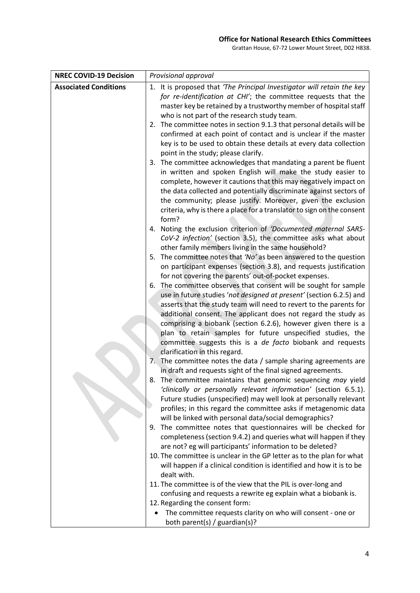Grattan House, 67-72 Lower Mount Street, D02 H838.

| <b>NREC COVID-19 Decision</b> | Provisional approval                                                                                                                      |
|-------------------------------|-------------------------------------------------------------------------------------------------------------------------------------------|
| <b>Associated Conditions</b>  | 1. It is proposed that 'The Principal Investigator will retain the key                                                                    |
|                               | for re-identification at CHI'; the committee requests that the                                                                            |
|                               | master key be retained by a trustworthy member of hospital staff                                                                          |
|                               | who is not part of the research study team.                                                                                               |
|                               | 2. The committee notes in section 9.1.3 that personal details will be                                                                     |
|                               | confirmed at each point of contact and is unclear if the master                                                                           |
|                               | key is to be used to obtain these details at every data collection                                                                        |
|                               | point in the study; please clarify.                                                                                                       |
|                               | 3. The committee acknowledges that mandating a parent be fluent                                                                           |
|                               | in written and spoken English will make the study easier to<br>complete, however it cautions that this may negatively impact on           |
|                               | the data collected and potentially discriminate against sectors of                                                                        |
|                               | the community; please justify. Moreover, given the exclusion                                                                              |
|                               | criteria, why is there a place for a translator to sign on the consent                                                                    |
|                               | form?                                                                                                                                     |
|                               | 4. Noting the exclusion criterion of 'Documented maternal SARS-                                                                           |
|                               | CoV-2 infection' (section 3.5), the committee asks what about                                                                             |
|                               | other family members living in the same household?                                                                                        |
|                               | 5. The committee notes that 'No' as been answered to the question                                                                         |
|                               | on participant expenses (section 3.8), and requests justification                                                                         |
|                               | for not covering the parents' out-of-pocket expenses.                                                                                     |
|                               | The committee observes that consent will be sought for sample<br>6.                                                                       |
|                               | use in future studies 'not designed at present' (section 6.2.5) and<br>asserts that the study team will need to revert to the parents for |
|                               | additional consent. The applicant does not regard the study as                                                                            |
|                               | comprising a biobank (section 6.2.6), however given there is a                                                                            |
|                               | plan to retain samples for future unspecified studies, the                                                                                |
|                               | committee suggests this is a de facto biobank and requests                                                                                |
|                               | clarification in this regard.                                                                                                             |
|                               | 7. The committee notes the data / sample sharing agreements are                                                                           |
|                               | in draft and requests sight of the final signed agreements.                                                                               |
|                               | 8. The committee maintains that genomic sequencing may yield                                                                              |
|                               | 'clinically or personally relevant information' (section 6.5.1).                                                                          |
|                               | Future studies (unspecified) may well look at personally relevant                                                                         |
|                               | profiles; in this regard the committee asks if metagenomic data<br>will be linked with personal data/social demographics?                 |
|                               | The committee notes that questionnaires will be checked for<br>9.                                                                         |
|                               | completeness (section 9.4.2) and queries what will happen if they                                                                         |
|                               | are not? eg will participants' information to be deleted?                                                                                 |
|                               | 10. The committee is unclear in the GP letter as to the plan for what                                                                     |
|                               | will happen if a clinical condition is identified and how it is to be                                                                     |
|                               | dealt with.                                                                                                                               |
|                               | 11. The committee is of the view that the PIL is over-long and                                                                            |
|                               | confusing and requests a rewrite eg explain what a biobank is.                                                                            |
|                               | 12. Regarding the consent form:                                                                                                           |
|                               | The committee requests clarity on who will consent - one or<br>$\bullet$                                                                  |
|                               | both parent(s) / guardian(s)?                                                                                                             |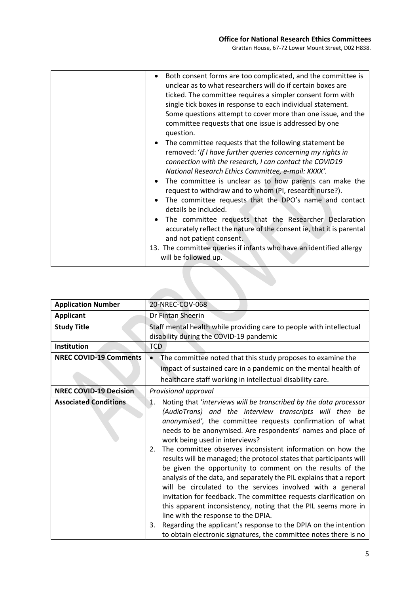| Both consent forms are too complicated, and the committee is<br>unclear as to what researchers will do if certain boxes are<br>ticked. The committee requires a simpler consent form with<br>single tick boxes in response to each individual statement.<br>Some questions attempt to cover more than one issue, and the<br>committee requests that one issue is addressed by one<br>question.<br>The committee requests that the following statement be<br>removed: 'If I have further queries concerning my rights in<br>connection with the research, I can contact the COVID19<br>National Research Ethics Committee, e-mail: XXXX'.<br>• The committee is unclear as to how parents can make the<br>request to withdraw and to whom (PI, research nurse?).<br>The committee requests that the DPO's name and contact<br>details be included.<br>• The committee requests that the Researcher Declaration<br>accurately reflect the nature of the consent ie, that it is parental<br>and not patient consent.<br>13. The committee queries if infants who have an identified allergy<br>will be followed up. |
|------------------------------------------------------------------------------------------------------------------------------------------------------------------------------------------------------------------------------------------------------------------------------------------------------------------------------------------------------------------------------------------------------------------------------------------------------------------------------------------------------------------------------------------------------------------------------------------------------------------------------------------------------------------------------------------------------------------------------------------------------------------------------------------------------------------------------------------------------------------------------------------------------------------------------------------------------------------------------------------------------------------------------------------------------------------------------------------------------------------|
|                                                                                                                                                                                                                                                                                                                                                                                                                                                                                                                                                                                                                                                                                                                                                                                                                                                                                                                                                                                                                                                                                                                  |
|                                                                                                                                                                                                                                                                                                                                                                                                                                                                                                                                                                                                                                                                                                                                                                                                                                                                                                                                                                                                                                                                                                                  |

| <b>Application Number</b>     | 20-NREC-COV-068                                                                                                                                                                                                                                                                                                                                                                                                                                                                                                                                                                                                                                                                                                                                                                                                                                                                                                                                                                    |
|-------------------------------|------------------------------------------------------------------------------------------------------------------------------------------------------------------------------------------------------------------------------------------------------------------------------------------------------------------------------------------------------------------------------------------------------------------------------------------------------------------------------------------------------------------------------------------------------------------------------------------------------------------------------------------------------------------------------------------------------------------------------------------------------------------------------------------------------------------------------------------------------------------------------------------------------------------------------------------------------------------------------------|
| <b>Applicant</b>              | Dr Fintan Sheerin                                                                                                                                                                                                                                                                                                                                                                                                                                                                                                                                                                                                                                                                                                                                                                                                                                                                                                                                                                  |
| <b>Study Title</b>            | Staff mental health while providing care to people with intellectual<br>disability during the COVID-19 pandemic                                                                                                                                                                                                                                                                                                                                                                                                                                                                                                                                                                                                                                                                                                                                                                                                                                                                    |
| Institution                   | <b>TCD</b>                                                                                                                                                                                                                                                                                                                                                                                                                                                                                                                                                                                                                                                                                                                                                                                                                                                                                                                                                                         |
| <b>NREC COVID-19 Comments</b> | The committee noted that this study proposes to examine the                                                                                                                                                                                                                                                                                                                                                                                                                                                                                                                                                                                                                                                                                                                                                                                                                                                                                                                        |
|                               | impact of sustained care in a pandemic on the mental health of                                                                                                                                                                                                                                                                                                                                                                                                                                                                                                                                                                                                                                                                                                                                                                                                                                                                                                                     |
|                               | healthcare staff working in intellectual disability care.                                                                                                                                                                                                                                                                                                                                                                                                                                                                                                                                                                                                                                                                                                                                                                                                                                                                                                                          |
| <b>NREC COVID-19 Decision</b> | Provisional approval                                                                                                                                                                                                                                                                                                                                                                                                                                                                                                                                                                                                                                                                                                                                                                                                                                                                                                                                                               |
| <b>Associated Conditions</b>  | Noting that 'interviews will be transcribed by the data processor<br>$\mathbf{1}$ .<br>(AudioTrans) and the interview transcripts will then be<br>anonymised', the committee requests confirmation of what<br>needs to be anonymised. Are respondents' names and place of<br>work being used in interviews?<br>The committee observes inconsistent information on how the<br>2.<br>results will be managed; the protocol states that participants will<br>be given the opportunity to comment on the results of the<br>analysis of the data, and separately the PIL explains that a report<br>will be circulated to the services involved with a general<br>invitation for feedback. The committee requests clarification on<br>this apparent inconsistency, noting that the PIL seems more in<br>line with the response to the DPIA.<br>Regarding the applicant's response to the DPIA on the intention<br>3.<br>to obtain electronic signatures, the committee notes there is no |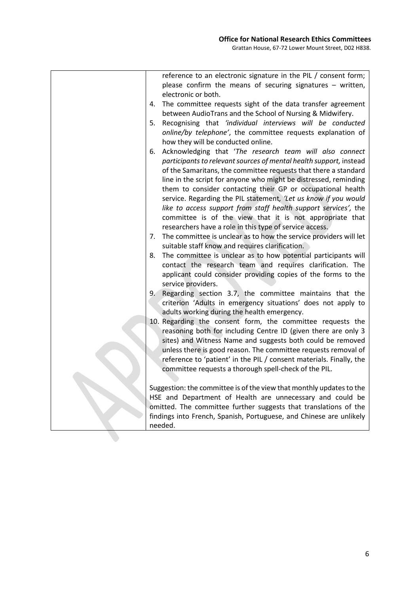|    | reference to an electronic signature in the PIL / consent form;<br>please confirm the means of securing signatures - written,<br>electronic or both. |
|----|------------------------------------------------------------------------------------------------------------------------------------------------------|
| 4. | The committee requests sight of the data transfer agreement                                                                                          |
|    | between AudioTrans and the School of Nursing & Midwifery.                                                                                            |
| 5. | Recognising that 'individual interviews will be conducted                                                                                            |
|    | online/by telephone', the committee requests explanation of                                                                                          |
|    | how they will be conducted online.                                                                                                                   |
| 6. | Acknowledging that 'The research team will also connect                                                                                              |
|    | participants to relevant sources of mental health support, instead                                                                                   |
|    | of the Samaritans, the committee requests that there a standard                                                                                      |
|    | line in the script for anyone who might be distressed, reminding                                                                                     |
|    | them to consider contacting their GP or occupational health                                                                                          |
|    | service. Regarding the PIL statement, 'Let us know if you would                                                                                      |
|    | like to access support from staff health support services', the                                                                                      |
|    | committee is of the view that it is not appropriate that                                                                                             |
|    | researchers have a role in this type of service access.                                                                                              |
| 7. | The committee is unclear as to how the service providers will let                                                                                    |
|    | suitable staff know and requires clarification.                                                                                                      |
| 8. | The committee is unclear as to how potential participants will                                                                                       |
|    | contact the research team and requires clarification. The                                                                                            |
|    | applicant could consider providing copies of the forms to the                                                                                        |
|    | service providers.                                                                                                                                   |
| 9. | Regarding section 3.7, the committee maintains that the                                                                                              |
|    | criterion 'Adults in emergency situations' does not apply to                                                                                         |
|    | adults working during the health emergency.                                                                                                          |
|    | 10. Regarding the consent form, the committee requests the                                                                                           |
|    | reasoning both for including Centre ID (given there are only 3                                                                                       |
|    | sites) and Witness Name and suggests both could be removed                                                                                           |
|    | unless there is good reason. The committee requests removal of                                                                                       |
|    | reference to 'patient' in the PIL / consent materials. Finally, the                                                                                  |
|    | committee requests a thorough spell-check of the PIL.                                                                                                |
|    |                                                                                                                                                      |
|    | Suggestion: the committee is of the view that monthly updates to the                                                                                 |
|    | HSE and Department of Health are unnecessary and could be                                                                                            |
|    | omitted. The committee further suggests that translations of the                                                                                     |
|    | findings into French, Spanish, Portuguese, and Chinese are unlikely                                                                                  |
|    | needed.                                                                                                                                              |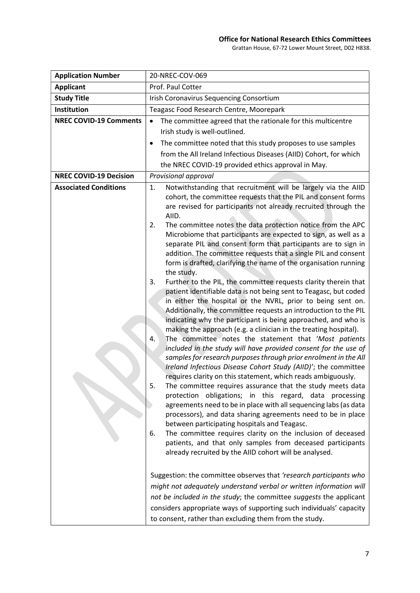### Office for National Research Ethics Committees

Grattan House, 67-72 Lower Mount Street, D02 H838.

| <b>Application Number</b>     | 20-NREC-COV-069                                                                                                                                                                                                                                                                                                                                                                                                                                                                                                                                                                                                                                                                                                                                                                                                                                                                                                                                                                                                                                                                                                                                                                                                                                                                                                                                                                                                                                                                                                                                                                                                                                                                                                                                                                                                                                                                                                                                                                                         |
|-------------------------------|---------------------------------------------------------------------------------------------------------------------------------------------------------------------------------------------------------------------------------------------------------------------------------------------------------------------------------------------------------------------------------------------------------------------------------------------------------------------------------------------------------------------------------------------------------------------------------------------------------------------------------------------------------------------------------------------------------------------------------------------------------------------------------------------------------------------------------------------------------------------------------------------------------------------------------------------------------------------------------------------------------------------------------------------------------------------------------------------------------------------------------------------------------------------------------------------------------------------------------------------------------------------------------------------------------------------------------------------------------------------------------------------------------------------------------------------------------------------------------------------------------------------------------------------------------------------------------------------------------------------------------------------------------------------------------------------------------------------------------------------------------------------------------------------------------------------------------------------------------------------------------------------------------------------------------------------------------------------------------------------------------|
| <b>Applicant</b>              | Prof. Paul Cotter                                                                                                                                                                                                                                                                                                                                                                                                                                                                                                                                                                                                                                                                                                                                                                                                                                                                                                                                                                                                                                                                                                                                                                                                                                                                                                                                                                                                                                                                                                                                                                                                                                                                                                                                                                                                                                                                                                                                                                                       |
| <b>Study Title</b>            | <b>Irish Coronavirus Sequencing Consortium</b>                                                                                                                                                                                                                                                                                                                                                                                                                                                                                                                                                                                                                                                                                                                                                                                                                                                                                                                                                                                                                                                                                                                                                                                                                                                                                                                                                                                                                                                                                                                                                                                                                                                                                                                                                                                                                                                                                                                                                          |
| Institution                   | Teagasc Food Research Centre, Moorepark                                                                                                                                                                                                                                                                                                                                                                                                                                                                                                                                                                                                                                                                                                                                                                                                                                                                                                                                                                                                                                                                                                                                                                                                                                                                                                                                                                                                                                                                                                                                                                                                                                                                                                                                                                                                                                                                                                                                                                 |
| <b>NREC COVID-19 Comments</b> | The committee agreed that the rationale for this multicentre                                                                                                                                                                                                                                                                                                                                                                                                                                                                                                                                                                                                                                                                                                                                                                                                                                                                                                                                                                                                                                                                                                                                                                                                                                                                                                                                                                                                                                                                                                                                                                                                                                                                                                                                                                                                                                                                                                                                            |
|                               | Irish study is well-outlined.                                                                                                                                                                                                                                                                                                                                                                                                                                                                                                                                                                                                                                                                                                                                                                                                                                                                                                                                                                                                                                                                                                                                                                                                                                                                                                                                                                                                                                                                                                                                                                                                                                                                                                                                                                                                                                                                                                                                                                           |
|                               | The committee noted that this study proposes to use samples                                                                                                                                                                                                                                                                                                                                                                                                                                                                                                                                                                                                                                                                                                                                                                                                                                                                                                                                                                                                                                                                                                                                                                                                                                                                                                                                                                                                                                                                                                                                                                                                                                                                                                                                                                                                                                                                                                                                             |
|                               | from the All Ireland Infectious Diseases (AIID) Cohort, for which                                                                                                                                                                                                                                                                                                                                                                                                                                                                                                                                                                                                                                                                                                                                                                                                                                                                                                                                                                                                                                                                                                                                                                                                                                                                                                                                                                                                                                                                                                                                                                                                                                                                                                                                                                                                                                                                                                                                       |
|                               | the NREC COVID-19 provided ethics approval in May.                                                                                                                                                                                                                                                                                                                                                                                                                                                                                                                                                                                                                                                                                                                                                                                                                                                                                                                                                                                                                                                                                                                                                                                                                                                                                                                                                                                                                                                                                                                                                                                                                                                                                                                                                                                                                                                                                                                                                      |
| <b>NREC COVID-19 Decision</b> | Provisional approval                                                                                                                                                                                                                                                                                                                                                                                                                                                                                                                                                                                                                                                                                                                                                                                                                                                                                                                                                                                                                                                                                                                                                                                                                                                                                                                                                                                                                                                                                                                                                                                                                                                                                                                                                                                                                                                                                                                                                                                    |
| <b>Associated Conditions</b>  | Notwithstanding that recruitment will be largely via the AIID<br>1.<br>cohort, the committee requests that the PIL and consent forms<br>are revised for participants not already recruited through the<br>AIID.<br>The committee notes the data protection notice from the APC<br>2.<br>Microbiome that participants are expected to sign, as well as a<br>separate PIL and consent form that participants are to sign in<br>addition. The committee requests that a single PIL and consent<br>form is drafted, clarifying the name of the organisation running<br>the study.<br>Further to the PIL, the committee requests clarity therein that<br>3.<br>patient identifiable data is not being sent to Teagasc, but coded<br>in either the hospital or the NVRL, prior to being sent on.<br>Additionally, the committee requests an introduction to the PIL<br>indicating why the participant is being approached, and who is<br>making the approach (e.g. a clinician in the treating hospital).<br>The committee notes the statement that 'Most patients<br>4.<br>included in the study will have provided consent for the use of<br>samples for research purposes through prior enrolment in the All<br>Ireland Infectious Disease Cohort Study (AIID)'; the committee<br>requires clarity on this statement, which reads ambiguously.<br>The committee requires assurance that the study meets data<br>5.<br>protection obligations; in this regard, data processing<br>agreements need to be in place with all sequencing labs (as data<br>processors), and data sharing agreements need to be in place<br>between participating hospitals and Teagasc.<br>The committee requires clarity on the inclusion of deceased<br>6.<br>patients, and that only samples from deceased participants<br>already recruited by the AIID cohort will be analysed.<br>Suggestion: the committee observes that 'research participants who<br>might not adequately understand verbal or written information will |
|                               | not be included in the study; the committee suggests the applicant<br>considers appropriate ways of supporting such individuals' capacity<br>to consent, rather than excluding them from the study.                                                                                                                                                                                                                                                                                                                                                                                                                                                                                                                                                                                                                                                                                                                                                                                                                                                                                                                                                                                                                                                                                                                                                                                                                                                                                                                                                                                                                                                                                                                                                                                                                                                                                                                                                                                                     |